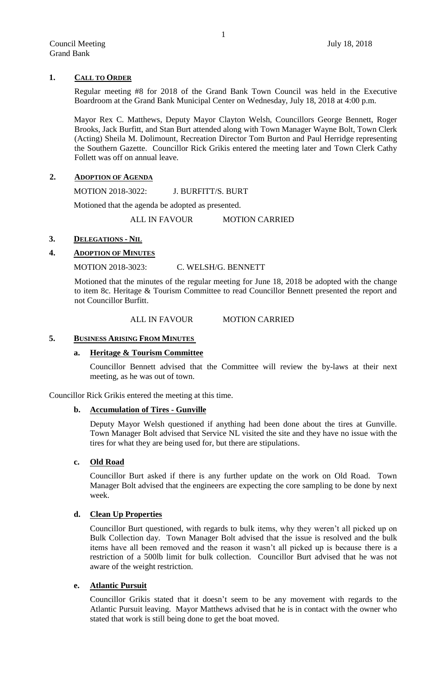## **1. CALL TO ORDER**

Regular meeting #8 for 2018 of the Grand Bank Town Council was held in the Executive Boardroom at the Grand Bank Municipal Center on Wednesday, July 18, 2018 at 4:00 p.m.

Mayor Rex C. Matthews, Deputy Mayor Clayton Welsh, Councillors George Bennett, Roger Brooks, Jack Burfitt, and Stan Burt attended along with Town Manager Wayne Bolt, Town Clerk (Acting) Sheila M. Dolimount, Recreation Director Tom Burton and Paul Herridge representing the Southern Gazette. Councillor Rick Grikis entered the meeting later and Town Clerk Cathy Follett was off on annual leave.

## **2. ADOPTION OF AGENDA**

MOTION 2018-3022: J. BURFITT/S. BURT

Motioned that the agenda be adopted as presented.

ALL IN FAVOUR MOTION CARRIED

## **3. DELEGATIONS - NIL**

## **4. ADOPTION OF MINUTES**

MOTION 2018-3023: C. WELSH/G. BENNETT

Motioned that the minutes of the regular meeting for June 18, 2018 be adopted with the change to item 8c. Heritage & Tourism Committee to read Councillor Bennett presented the report and not Councillor Burfitt.

#### ALL IN FAVOUR MOTION CARRIED

#### **5. BUSINESS ARISING FROM MINUTES**

#### **a. Heritage & Tourism Committee**

Councillor Bennett advised that the Committee will review the by-laws at their next meeting, as he was out of town.

Councillor Rick Grikis entered the meeting at this time.

## **b. Accumulation of Tires - Gunville**

Deputy Mayor Welsh questioned if anything had been done about the tires at Gunville. Town Manager Bolt advised that Service NL visited the site and they have no issue with the tires for what they are being used for, but there are stipulations.

#### **c. Old Road**

Councillor Burt asked if there is any further update on the work on Old Road. Town Manager Bolt advised that the engineers are expecting the core sampling to be done by next week.

## **d. Clean Up Properties**

Councillor Burt questioned, with regards to bulk items, why they weren't all picked up on Bulk Collection day. Town Manager Bolt advised that the issue is resolved and the bulk items have all been removed and the reason it wasn't all picked up is because there is a restriction of a 500lb limit for bulk collection. Councillor Burt advised that he was not aware of the weight restriction.

## **e. Atlantic Pursuit**

Councillor Grikis stated that it doesn't seem to be any movement with regards to the Atlantic Pursuit leaving. Mayor Matthews advised that he is in contact with the owner who stated that work is still being done to get the boat moved.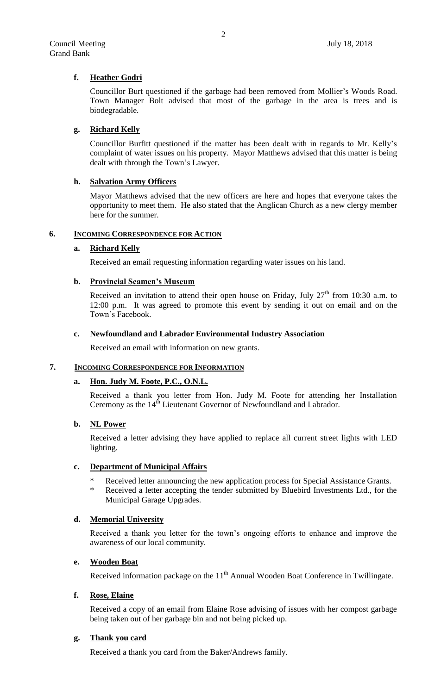# **f. Heather Godri**

Councillor Burt questioned if the garbage had been removed from Mollier's Woods Road. Town Manager Bolt advised that most of the garbage in the area is trees and is biodegradable.

# **g. Richard Kelly**

Councillor Burfitt questioned if the matter has been dealt with in regards to Mr. Kelly's complaint of water issues on his property. Mayor Matthews advised that this matter is being dealt with through the Town's Lawyer.

# **h. Salvation Army Officers**

Mayor Matthews advised that the new officers are here and hopes that everyone takes the opportunity to meet them. He also stated that the Anglican Church as a new clergy member here for the summer.

## **6. INCOMING CORRESPONDENCE FOR ACTION**

# **a. Richard Kelly**

Received an email requesting information regarding water issues on his land.

# **b. Provincial Seamen's Museum**

Received an invitation to attend their open house on Friday, July  $27<sup>th</sup>$  from 10:30 a.m. to 12:00 p.m. It was agreed to promote this event by sending it out on email and on the Town's Facebook.

## **c. Newfoundland and Labrador Environmental Industry Association**

Received an email with information on new grants.

## **7. INCOMING CORRESPONDENCE FOR INFORMATION**

## **a. Hon. Judy M. Foote, P.C., O.N.L.**

Received a thank you letter from Hon. Judy M. Foote for attending her Installation Ceremony as the 14<sup>th</sup> Lieutenant Governor of Newfoundland and Labrador.

# **b. NL Power**

Received a letter advising they have applied to replace all current street lights with LED lighting.

# **c. Department of Municipal Affairs**

- \* Received letter announcing the new application process for Special Assistance Grants.
- \* Received a letter accepting the tender submitted by Bluebird Investments Ltd., for the Municipal Garage Upgrades.

## **d. Memorial University**

Received a thank you letter for the town's ongoing efforts to enhance and improve the awareness of our local community.

# **e. Wooden Boat**

Received information package on the  $11<sup>th</sup>$  Annual Wooden Boat Conference in Twillingate.

# **f. Rose, Elaine**

Received a copy of an email from Elaine Rose advising of issues with her compost garbage being taken out of her garbage bin and not being picked up.

## **g. Thank you card**

Received a thank you card from the Baker/Andrews family.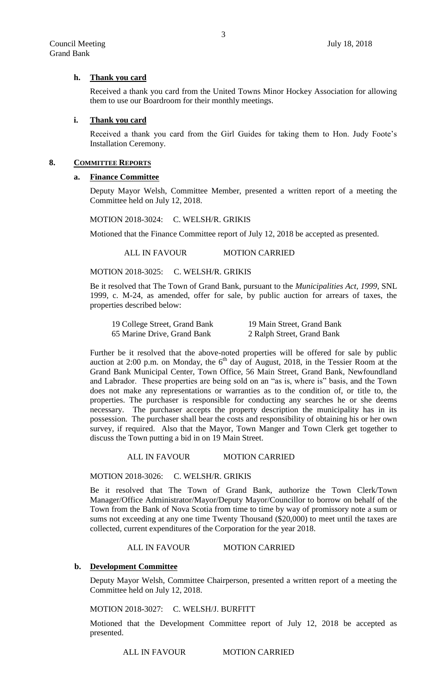## **h. Thank you card**

Received a thank you card from the United Towns Minor Hockey Association for allowing them to use our Boardroom for their monthly meetings.

#### **i. Thank you card**

Received a thank you card from the Girl Guides for taking them to Hon. Judy Foote's Installation Ceremony.

## **8. COMMITTEE REPORTS**

#### **a. Finance Committee**

Deputy Mayor Welsh, Committee Member, presented a written report of a meeting the Committee held on July 12, 2018.

MOTION 2018-3024: C. WELSH/R. GRIKIS

Motioned that the Finance Committee report of July 12, 2018 be accepted as presented.

ALL IN FAVOUR MOTION CARRIED

MOTION 2018-3025: C. WELSH/R. GRIKIS

Be it resolved that The Town of Grand Bank, pursuant to the *Municipalities Act, 1999*, SNL 1999, c. M-24, as amended, offer for sale, by public auction for arrears of taxes, the properties described below:

| 19 College Street, Grand Bank | 19 Main Street, Grand Bank |
|-------------------------------|----------------------------|
| 65 Marine Drive, Grand Bank   | 2 Ralph Street, Grand Bank |

Further be it resolved that the above-noted properties will be offered for sale by public auction at 2:00 p.m. on Monday, the  $6<sup>th</sup>$  day of August, 2018, in the Tessier Room at the Grand Bank Municipal Center, Town Office, 56 Main Street, Grand Bank, Newfoundland and Labrador. These properties are being sold on an "as is, where is" basis, and the Town does not make any representations or warranties as to the condition of, or title to, the properties. The purchaser is responsible for conducting any searches he or she deems necessary. The purchaser accepts the property description the municipality has in its possession. The purchaser shall bear the costs and responsibility of obtaining his or her own survey, if required. Also that the Mayor, Town Manger and Town Clerk get together to discuss the Town putting a bid in on 19 Main Street.

ALL IN FAVOUR MOTION CARRIED

MOTION 2018-3026: C. WELSH/R. GRIKIS

Be it resolved that The Town of Grand Bank, authorize the Town Clerk/Town Manager/Office Administrator/Mayor/Deputy Mayor/Councillor to borrow on behalf of the Town from the Bank of Nova Scotia from time to time by way of promissory note a sum or sums not exceeding at any one time Twenty Thousand (\$20,000) to meet until the taxes are collected, current expenditures of the Corporation for the year 2018.

ALL IN FAVOUR MOTION CARRIED

## **b. Development Committee**

Deputy Mayor Welsh, Committee Chairperson, presented a written report of a meeting the Committee held on July 12, 2018.

MOTION 2018-3027: C. WELSH/J. BURFITT

Motioned that the Development Committee report of July 12, 2018 be accepted as presented.

ALL IN FAVOUR MOTION CARRIED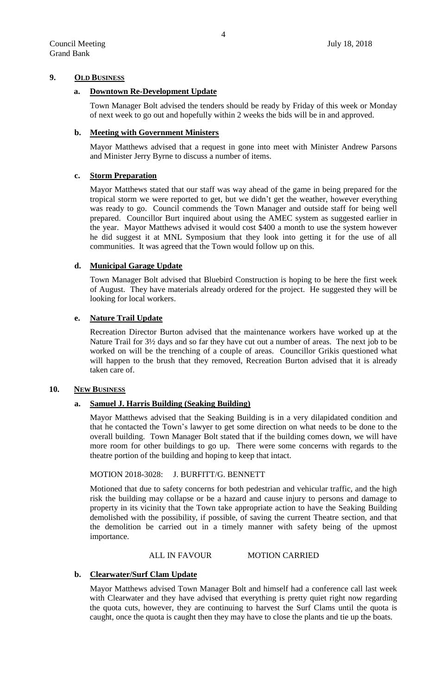## **9. OLD BUSINESS**

## **a. Downtown Re-Development Update**

Town Manager Bolt advised the tenders should be ready by Friday of this week or Monday of next week to go out and hopefully within 2 weeks the bids will be in and approved.

#### **b. Meeting with Government Ministers**

Mayor Matthews advised that a request in gone into meet with Minister Andrew Parsons and Minister Jerry Byrne to discuss a number of items.

#### **c. Storm Preparation**

Mayor Matthews stated that our staff was way ahead of the game in being prepared for the tropical storm we were reported to get, but we didn't get the weather, however everything was ready to go. Council commends the Town Manager and outside staff for being well prepared. Councillor Burt inquired about using the AMEC system as suggested earlier in the year. Mayor Matthews advised it would cost \$400 a month to use the system however he did suggest it at MNL Symposium that they look into getting it for the use of all communities. It was agreed that the Town would follow up on this.

## **d. Municipal Garage Update**

Town Manager Bolt advised that Bluebird Construction is hoping to be here the first week of August. They have materials already ordered for the project. He suggested they will be looking for local workers.

## **e. Nature Trail Update**

Recreation Director Burton advised that the maintenance workers have worked up at the Nature Trail for 3½ days and so far they have cut out a number of areas. The next job to be worked on will be the trenching of a couple of areas. Councillor Grikis questioned what will happen to the brush that they removed, Recreation Burton advised that it is already taken care of.

## 10. **NEW BUSINESS**

## **a. Samuel J. Harris Building (Seaking Building)**

Mayor Matthews advised that the Seaking Building is in a very dilapidated condition and that he contacted the Town's lawyer to get some direction on what needs to be done to the overall building. Town Manager Bolt stated that if the building comes down, we will have more room for other buildings to go up. There were some concerns with regards to the theatre portion of the building and hoping to keep that intact.

#### MOTION 2018-3028: J. BURFITT/G. BENNETT

Motioned that due to safety concerns for both pedestrian and vehicular traffic, and the high risk the building may collapse or be a hazard and cause injury to persons and damage to property in its vicinity that the Town take appropriate action to have the Seaking Building demolished with the possibility, if possible, of saving the current Theatre section, and that the demolition be carried out in a timely manner with safety being of the upmost importance.

## ALL IN FAVOUR MOTION CARRIED

#### **b. Clearwater/Surf Clam Update**

Mayor Matthews advised Town Manager Bolt and himself had a conference call last week with Clearwater and they have advised that everything is pretty quiet right now regarding the quota cuts, however, they are continuing to harvest the Surf Clams until the quota is caught, once the quota is caught then they may have to close the plants and tie up the boats.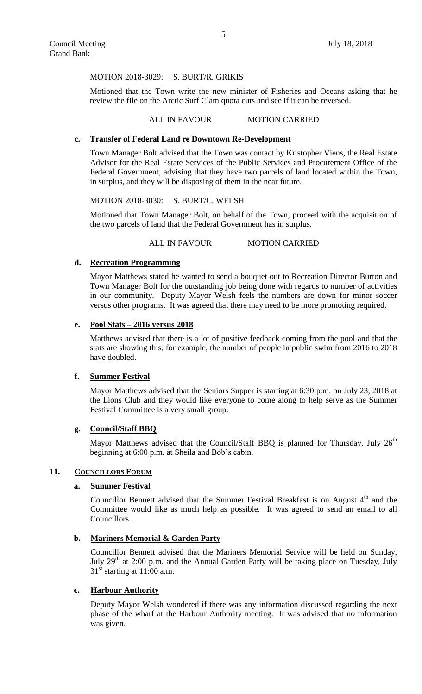#### MOTION 2018-3029: S. BURT/R. GRIKIS

Motioned that the Town write the new minister of Fisheries and Oceans asking that he review the file on the Arctic Surf Clam quota cuts and see if it can be reversed.

#### ALL IN FAVOUR MOTION CARRIED

#### **c. Transfer of Federal Land re Downtown Re-Development**

Town Manager Bolt advised that the Town was contact by Kristopher Viens, the Real Estate Advisor for the Real Estate Services of the Public Services and Procurement Office of the Federal Government, advising that they have two parcels of land located within the Town, in surplus, and they will be disposing of them in the near future.

#### MOTION 2018-3030: S. BURT/C. WELSH

Motioned that Town Manager Bolt, on behalf of the Town, proceed with the acquisition of the two parcels of land that the Federal Government has in surplus.

ALL IN FAVOUR MOTION CARRIED

## **d. Recreation Programming**

Mayor Matthews stated he wanted to send a bouquet out to Recreation Director Burton and Town Manager Bolt for the outstanding job being done with regards to number of activities in our community. Deputy Mayor Welsh feels the numbers are down for minor soccer versus other programs. It was agreed that there may need to be more promoting required.

### **e. Pool Stats – 2016 versus 2018**

Matthews advised that there is a lot of positive feedback coming from the pool and that the stats are showing this, for example, the number of people in public swim from 2016 to 2018 have doubled.

#### **f. Summer Festival**

Mayor Matthews advised that the Seniors Supper is starting at 6:30 p.m. on July 23, 2018 at the Lions Club and they would like everyone to come along to help serve as the Summer Festival Committee is a very small group.

#### **g. Council/Staff BBQ**

Mayor Matthews advised that the Council/Staff BBQ is planned for Thursday, July  $26<sup>th</sup>$ beginning at 6:00 p.m. at Sheila and Bob's cabin.

#### 11. **COUNCILLORS FORUM**

#### **a. Summer Festival**

Councillor Bennett advised that the Summer Festival Breakfast is on August  $4<sup>th</sup>$  and the Committee would like as much help as possible. It was agreed to send an email to all Councillors.

#### **b. Mariners Memorial & Garden Party**

Councillor Bennett advised that the Mariners Memorial Service will be held on Sunday, July  $29<sup>th</sup>$  at 2:00 p.m. and the Annual Garden Party will be taking place on Tuesday, July  $31<sup>st</sup>$  starting at 11:00 a.m.

## **c. Harbour Authority**

Deputy Mayor Welsh wondered if there was any information discussed regarding the next phase of the wharf at the Harbour Authority meeting. It was advised that no information was given.